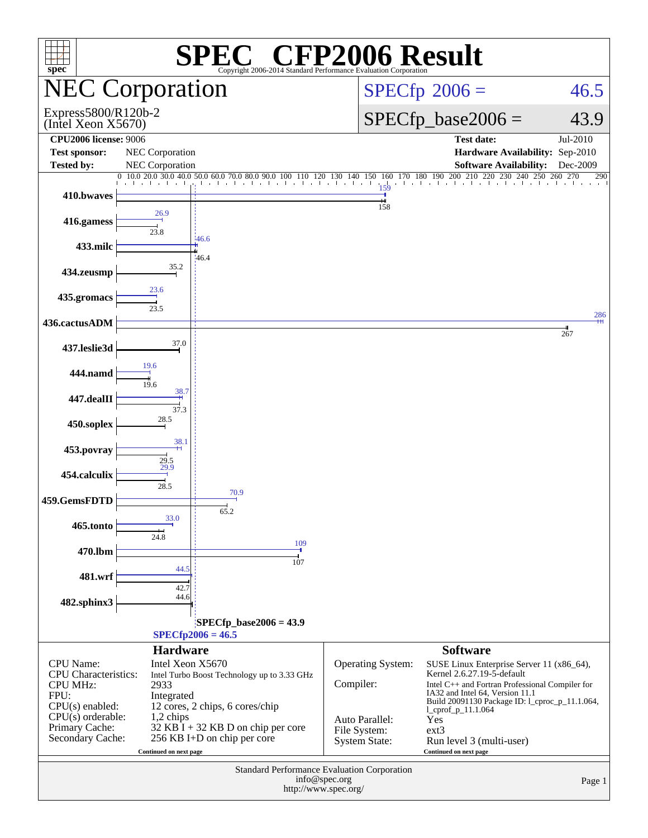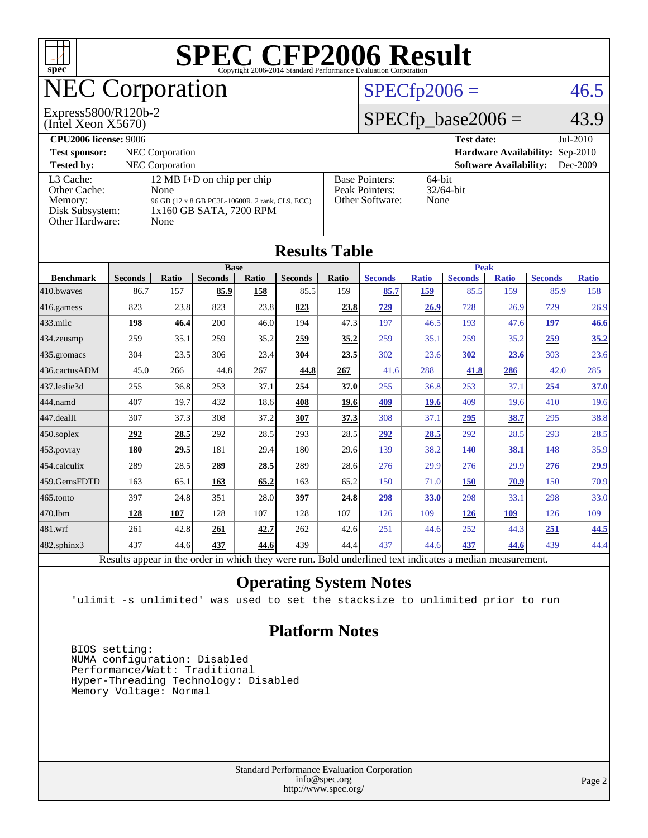

| IWAHA TANIC                                                                                              |                |                            |                |              |                |       |                |              |                |              |                |              |
|----------------------------------------------------------------------------------------------------------|----------------|----------------------------|----------------|--------------|----------------|-------|----------------|--------------|----------------|--------------|----------------|--------------|
|                                                                                                          |                | <b>Base</b><br><b>Peak</b> |                |              |                |       |                |              |                |              |                |              |
| <b>Benchmark</b>                                                                                         | <b>Seconds</b> | Ratio                      | <b>Seconds</b> | <b>Ratio</b> | <b>Seconds</b> | Ratio | <b>Seconds</b> | <b>Ratio</b> | <b>Seconds</b> | <b>Ratio</b> | <b>Seconds</b> | <b>Ratio</b> |
| 410.bwayes                                                                                               | 86.7           | 157                        | 85.9           | 158          | 85.5           | 159   | 85.7           | 159          | 85.5           | 159          | 85.9           | 158          |
| 416.gamess                                                                                               | 823            | 23.8                       | 823            | 23.8         | 823            | 23.8  | 729            | 26.9         | 728            | 26.9         | 729            | 26.9         |
| $433$ .milc                                                                                              | 198            | 46.4                       | 200            | 46.0         | 194            | 47.3  | 197            | 46.5         | 193            | 47.6         | 197            | 46.6         |
| $434$ . zeusmp                                                                                           | 259            | 35.1                       | 259            | 35.2         | 259            | 35.2  | 259            | 35.1         | 259            | 35.2         | 259            | 35.2         |
| $435$ .gromacs                                                                                           | 304            | 23.5                       | 306            | 23.4         | 304            | 23.5  | 302            | 23.6         | 302            | <u>23.6</u>  | 303            | 23.6         |
| 436.cactusADM                                                                                            | 45.0           | 266                        | 44.8           | 267          | 44.8           | 267   | 41.6           | 288          | 41.8           | 286          | 42.0           | 285          |
| 437.leslie3d                                                                                             | 255            | 36.8                       | 253            | 37.1         | 254            | 37.0  | 255            | 36.8         | 253            | 37.1         | 254            | 37.0         |
| 444.namd                                                                                                 | 407            | 19.7                       | 432            | 18.6         | 408            | 19.6  | 409            | 19.6         | 409            | 19.6         | 410            | 19.6         |
| 447.dealII                                                                                               | 307            | 37.3                       | 308            | 37.2         | 307            | 37.3  | 308            | 37.1         | 295            | 38.7         | 295            | 38.8         |
| $450$ .soplex                                                                                            | 292            | 28.5                       | 292            | 28.5         | 293            | 28.5  | 292            | 28.5         | 292            | 28.5         | 293            | 28.5         |
| $ 453$ . povray                                                                                          | 180            | 29.5                       | 181            | 29.4         | 180            | 29.6  | 139            | 38.2         | <b>140</b>     | 38.1         | 148            | 35.9         |
| $454$ .calculix                                                                                          | 289            | 28.5                       | 289            | 28.5         | 289            | 28.6  | 276            | 29.9         | 276            | 29.9         | 276            | 29.9         |
| 459.GemsFDTD                                                                                             | 163            | 65.1                       | <u>163</u>     | 65.2         | 163            | 65.2  | 150            | 71.0         | 150            | 70.9         | 150            | 70.9         |
| $ 465$ .tonto                                                                                            | 397            | 24.8                       | 351            | 28.0         | 397            | 24.8  | <u>298</u>     | 33.0         | 298            | 33.1         | 298            | 33.0         |
| 470.1bm                                                                                                  | 128            | 107                        | 128            | 107          | 128            | 107   | 126            | 109          | 126            | 109          | 126            | 109          |
| 481.wrf                                                                                                  | 261            | 42.8                       | 261            | 42.7         | 262            | 42.6  | 251            | 44.6         | 252            | 44.3         | 251            | 44.5         |
| $482$ .sphinx $3$                                                                                        | 437            | 44.6                       | 437            | 44.6         | 439            | 44.4  | 437            | 44.6         | 437            | 44.6         | 439            | 44.4         |
| Results appear in the order in which they were run. Bold underlined text indicates a median measurement. |                |                            |                |              |                |       |                |              |                |              |                |              |

### **[Operating System Notes](http://www.spec.org/auto/cpu2006/Docs/result-fields.html#OperatingSystemNotes)**

'ulimit -s unlimited' was used to set the stacksize to unlimited prior to run

### **[Platform Notes](http://www.spec.org/auto/cpu2006/Docs/result-fields.html#PlatformNotes)**

 BIOS setting: NUMA configuration: Disabled Performance/Watt: Traditional Hyper-Threading Technology: Disabled Memory Voltage: Normal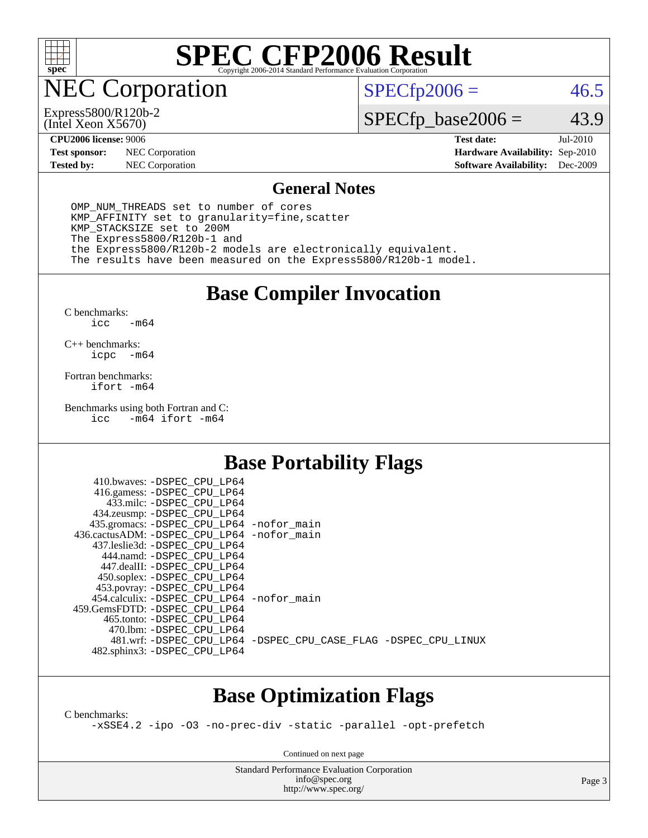

NEC Corporation

(Intel Xeon X5670) Express5800/R120b-2  $SPECfp2006 = 46.5$  $SPECfp2006 = 46.5$ 

# $SPECfp\_base2006 = 43.9$

**[Test sponsor:](http://www.spec.org/auto/cpu2006/Docs/result-fields.html#Testsponsor)** NEC Corporation **NEC Corporation [Hardware Availability:](http://www.spec.org/auto/cpu2006/Docs/result-fields.html#HardwareAvailability)** Sep-2010 **[Tested by:](http://www.spec.org/auto/cpu2006/Docs/result-fields.html#Testedby)** NEC Corporation **[Software Availability:](http://www.spec.org/auto/cpu2006/Docs/result-fields.html#SoftwareAvailability)** Dec-2009

**[CPU2006 license:](http://www.spec.org/auto/cpu2006/Docs/result-fields.html#CPU2006license)** 9006 **[Test date:](http://www.spec.org/auto/cpu2006/Docs/result-fields.html#Testdate)** Jul-2010

#### **[General Notes](http://www.spec.org/auto/cpu2006/Docs/result-fields.html#GeneralNotes)**

 OMP\_NUM\_THREADS set to number of cores KMP\_AFFINITY set to granularity=fine,scatter KMP\_STACKSIZE set to 200M The Express5800/R120b-1 and the Express5800/R120b-2 models are electronically equivalent. The results have been measured on the Express5800/R120b-1 model.

## **[Base Compiler Invocation](http://www.spec.org/auto/cpu2006/Docs/result-fields.html#BaseCompilerInvocation)**

[C benchmarks](http://www.spec.org/auto/cpu2006/Docs/result-fields.html#Cbenchmarks):  $\text{icc}$   $-\text{m64}$ 

[C++ benchmarks:](http://www.spec.org/auto/cpu2006/Docs/result-fields.html#CXXbenchmarks) [icpc -m64](http://www.spec.org/cpu2006/results/res2010q3/cpu2006-20100813-12901.flags.html#user_CXXbase_intel_icpc_64bit_bedb90c1146cab66620883ef4f41a67e)

[Fortran benchmarks](http://www.spec.org/auto/cpu2006/Docs/result-fields.html#Fortranbenchmarks): [ifort -m64](http://www.spec.org/cpu2006/results/res2010q3/cpu2006-20100813-12901.flags.html#user_FCbase_intel_ifort_64bit_ee9d0fb25645d0210d97eb0527dcc06e)

[Benchmarks using both Fortran and C](http://www.spec.org/auto/cpu2006/Docs/result-fields.html#BenchmarksusingbothFortranandC):<br>icc -m64 ifort -m64  $-m64$  ifort  $-m64$ 

# **[Base Portability Flags](http://www.spec.org/auto/cpu2006/Docs/result-fields.html#BasePortabilityFlags)**

| 410.bwaves: -DSPEC CPU LP64                  |                                                                |
|----------------------------------------------|----------------------------------------------------------------|
| 416.gamess: -DSPEC_CPU_LP64                  |                                                                |
| 433.milc: -DSPEC CPU LP64                    |                                                                |
| 434.zeusmp: - DSPEC_CPU_LP64                 |                                                                |
| 435.gromacs: -DSPEC_CPU_LP64 -nofor_main     |                                                                |
| 436.cactusADM: - DSPEC CPU LP64 - nofor main |                                                                |
| 437.leslie3d: -DSPEC CPU LP64                |                                                                |
| 444.namd: -DSPEC CPU LP64                    |                                                                |
| 447.dealII: -DSPEC CPU LP64                  |                                                                |
| 450.soplex: -DSPEC_CPU_LP64                  |                                                                |
| 453.povray: -DSPEC_CPU_LP64                  |                                                                |
| 454.calculix: - DSPEC CPU LP64 - nofor main  |                                                                |
| 459. GemsFDTD: - DSPEC CPU LP64              |                                                                |
| 465.tonto: - DSPEC CPU LP64                  |                                                                |
| 470.1bm: - DSPEC CPU LP64                    |                                                                |
|                                              | 481.wrf: -DSPEC CPU_LP64 -DSPEC_CPU_CASE_FLAG -DSPEC_CPU_LINUX |
| 482.sphinx3: -DSPEC_CPU_LP64                 |                                                                |
|                                              |                                                                |

### **[Base Optimization Flags](http://www.spec.org/auto/cpu2006/Docs/result-fields.html#BaseOptimizationFlags)**

[C benchmarks](http://www.spec.org/auto/cpu2006/Docs/result-fields.html#Cbenchmarks):

[-xSSE4.2](http://www.spec.org/cpu2006/results/res2010q3/cpu2006-20100813-12901.flags.html#user_CCbase_f-xSSE42_f91528193cf0b216347adb8b939d4107) [-ipo](http://www.spec.org/cpu2006/results/res2010q3/cpu2006-20100813-12901.flags.html#user_CCbase_f-ipo) [-O3](http://www.spec.org/cpu2006/results/res2010q3/cpu2006-20100813-12901.flags.html#user_CCbase_f-O3) [-no-prec-div](http://www.spec.org/cpu2006/results/res2010q3/cpu2006-20100813-12901.flags.html#user_CCbase_f-no-prec-div) [-static](http://www.spec.org/cpu2006/results/res2010q3/cpu2006-20100813-12901.flags.html#user_CCbase_f-static) [-parallel](http://www.spec.org/cpu2006/results/res2010q3/cpu2006-20100813-12901.flags.html#user_CCbase_f-parallel) [-opt-prefetch](http://www.spec.org/cpu2006/results/res2010q3/cpu2006-20100813-12901.flags.html#user_CCbase_f-opt-prefetch)

Continued on next page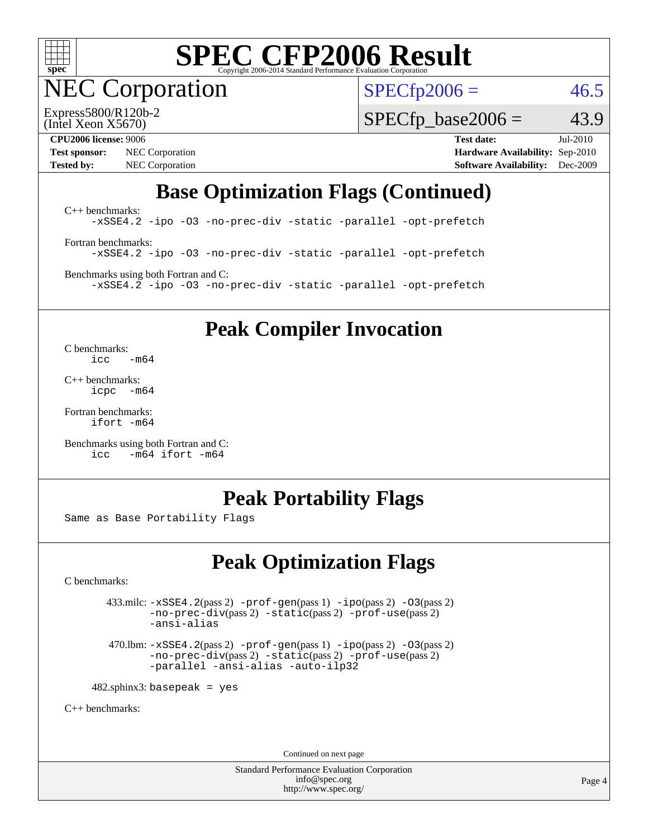

NEC Corporation

 $SPECTp2006 = 46.5$ 

(Intel Xeon X5670) Express5800/R120b-2

 $SPECTp\_base2006 = 43.9$ 

**[Test sponsor:](http://www.spec.org/auto/cpu2006/Docs/result-fields.html#Testsponsor)** NEC Corporation **NEC Corporation [Hardware Availability:](http://www.spec.org/auto/cpu2006/Docs/result-fields.html#HardwareAvailability)** Sep-2010 **[Tested by:](http://www.spec.org/auto/cpu2006/Docs/result-fields.html#Testedby)** NEC Corporation **[Software Availability:](http://www.spec.org/auto/cpu2006/Docs/result-fields.html#SoftwareAvailability)** Dec-2009

**[CPU2006 license:](http://www.spec.org/auto/cpu2006/Docs/result-fields.html#CPU2006license)** 9006 **[Test date:](http://www.spec.org/auto/cpu2006/Docs/result-fields.html#Testdate)** Jul-2010

# **[Base Optimization Flags \(Continued\)](http://www.spec.org/auto/cpu2006/Docs/result-fields.html#BaseOptimizationFlags)**

[C++ benchmarks:](http://www.spec.org/auto/cpu2006/Docs/result-fields.html#CXXbenchmarks) [-xSSE4.2](http://www.spec.org/cpu2006/results/res2010q3/cpu2006-20100813-12901.flags.html#user_CXXbase_f-xSSE42_f91528193cf0b216347adb8b939d4107) [-ipo](http://www.spec.org/cpu2006/results/res2010q3/cpu2006-20100813-12901.flags.html#user_CXXbase_f-ipo) [-O3](http://www.spec.org/cpu2006/results/res2010q3/cpu2006-20100813-12901.flags.html#user_CXXbase_f-O3) [-no-prec-div](http://www.spec.org/cpu2006/results/res2010q3/cpu2006-20100813-12901.flags.html#user_CXXbase_f-no-prec-div) [-static](http://www.spec.org/cpu2006/results/res2010q3/cpu2006-20100813-12901.flags.html#user_CXXbase_f-static) [-parallel](http://www.spec.org/cpu2006/results/res2010q3/cpu2006-20100813-12901.flags.html#user_CXXbase_f-parallel) [-opt-prefetch](http://www.spec.org/cpu2006/results/res2010q3/cpu2006-20100813-12901.flags.html#user_CXXbase_f-opt-prefetch) [Fortran benchmarks](http://www.spec.org/auto/cpu2006/Docs/result-fields.html#Fortranbenchmarks): [-xSSE4.2](http://www.spec.org/cpu2006/results/res2010q3/cpu2006-20100813-12901.flags.html#user_FCbase_f-xSSE42_f91528193cf0b216347adb8b939d4107) [-ipo](http://www.spec.org/cpu2006/results/res2010q3/cpu2006-20100813-12901.flags.html#user_FCbase_f-ipo) [-O3](http://www.spec.org/cpu2006/results/res2010q3/cpu2006-20100813-12901.flags.html#user_FCbase_f-O3) [-no-prec-div](http://www.spec.org/cpu2006/results/res2010q3/cpu2006-20100813-12901.flags.html#user_FCbase_f-no-prec-div) [-static](http://www.spec.org/cpu2006/results/res2010q3/cpu2006-20100813-12901.flags.html#user_FCbase_f-static) [-parallel](http://www.spec.org/cpu2006/results/res2010q3/cpu2006-20100813-12901.flags.html#user_FCbase_f-parallel) [-opt-prefetch](http://www.spec.org/cpu2006/results/res2010q3/cpu2006-20100813-12901.flags.html#user_FCbase_f-opt-prefetch)

[Benchmarks using both Fortran and C](http://www.spec.org/auto/cpu2006/Docs/result-fields.html#BenchmarksusingbothFortranandC): [-xSSE4.2](http://www.spec.org/cpu2006/results/res2010q3/cpu2006-20100813-12901.flags.html#user_CC_FCbase_f-xSSE42_f91528193cf0b216347adb8b939d4107) [-ipo](http://www.spec.org/cpu2006/results/res2010q3/cpu2006-20100813-12901.flags.html#user_CC_FCbase_f-ipo) [-O3](http://www.spec.org/cpu2006/results/res2010q3/cpu2006-20100813-12901.flags.html#user_CC_FCbase_f-O3) [-no-prec-div](http://www.spec.org/cpu2006/results/res2010q3/cpu2006-20100813-12901.flags.html#user_CC_FCbase_f-no-prec-div) [-static](http://www.spec.org/cpu2006/results/res2010q3/cpu2006-20100813-12901.flags.html#user_CC_FCbase_f-static) [-parallel](http://www.spec.org/cpu2006/results/res2010q3/cpu2006-20100813-12901.flags.html#user_CC_FCbase_f-parallel) [-opt-prefetch](http://www.spec.org/cpu2006/results/res2010q3/cpu2006-20100813-12901.flags.html#user_CC_FCbase_f-opt-prefetch)

**[Peak Compiler Invocation](http://www.spec.org/auto/cpu2006/Docs/result-fields.html#PeakCompilerInvocation)**

[C benchmarks](http://www.spec.org/auto/cpu2006/Docs/result-fields.html#Cbenchmarks):  $\text{icc}$   $-\text{m64}$ 

[C++ benchmarks:](http://www.spec.org/auto/cpu2006/Docs/result-fields.html#CXXbenchmarks) [icpc -m64](http://www.spec.org/cpu2006/results/res2010q3/cpu2006-20100813-12901.flags.html#user_CXXpeak_intel_icpc_64bit_bedb90c1146cab66620883ef4f41a67e)

[Fortran benchmarks](http://www.spec.org/auto/cpu2006/Docs/result-fields.html#Fortranbenchmarks): [ifort -m64](http://www.spec.org/cpu2006/results/res2010q3/cpu2006-20100813-12901.flags.html#user_FCpeak_intel_ifort_64bit_ee9d0fb25645d0210d97eb0527dcc06e)

[Benchmarks using both Fortran and C](http://www.spec.org/auto/cpu2006/Docs/result-fields.html#BenchmarksusingbothFortranandC): [icc -m64](http://www.spec.org/cpu2006/results/res2010q3/cpu2006-20100813-12901.flags.html#user_CC_FCpeak_intel_icc_64bit_0b7121f5ab7cfabee23d88897260401c) [ifort -m64](http://www.spec.org/cpu2006/results/res2010q3/cpu2006-20100813-12901.flags.html#user_CC_FCpeak_intel_ifort_64bit_ee9d0fb25645d0210d97eb0527dcc06e)

### **[Peak Portability Flags](http://www.spec.org/auto/cpu2006/Docs/result-fields.html#PeakPortabilityFlags)**

Same as Base Portability Flags

# **[Peak Optimization Flags](http://www.spec.org/auto/cpu2006/Docs/result-fields.html#PeakOptimizationFlags)**

[C benchmarks](http://www.spec.org/auto/cpu2006/Docs/result-fields.html#Cbenchmarks):

 $433 \text{.}$ milc:  $-xSSE4$ .  $2(pass 2)$  - $prof-gen(pass 1)$  - $ipo(pass 2)$  [-O3](http://www.spec.org/cpu2006/results/res2010q3/cpu2006-20100813-12901.flags.html#user_peakPASS2_CFLAGSPASS2_LDFLAGS433_milc_f-O3) $(pass 2)$ [-no-prec-div](http://www.spec.org/cpu2006/results/res2010q3/cpu2006-20100813-12901.flags.html#user_peakPASS2_CFLAGSPASS2_LDFLAGS433_milc_f-no-prec-div)(pass 2) [-static](http://www.spec.org/cpu2006/results/res2010q3/cpu2006-20100813-12901.flags.html#user_peakPASS2_CFLAGSPASS2_LDFLAGS433_milc_f-static)(pass 2) [-prof-use](http://www.spec.org/cpu2006/results/res2010q3/cpu2006-20100813-12901.flags.html#user_peakPASS2_CFLAGSPASS2_LDFLAGS433_milc_prof_use_bccf7792157ff70d64e32fe3e1250b55)(pass 2) [-ansi-alias](http://www.spec.org/cpu2006/results/res2010q3/cpu2006-20100813-12901.flags.html#user_peakOPTIMIZE433_milc_f-ansi-alias)

 470.lbm: [-xSSE4.2](http://www.spec.org/cpu2006/results/res2010q3/cpu2006-20100813-12901.flags.html#user_peakPASS2_CFLAGSPASS2_LDFLAGS470_lbm_f-xSSE42_f91528193cf0b216347adb8b939d4107)(pass 2) [-prof-gen](http://www.spec.org/cpu2006/results/res2010q3/cpu2006-20100813-12901.flags.html#user_peakPASS1_CFLAGSPASS1_LDFLAGS470_lbm_prof_gen_e43856698f6ca7b7e442dfd80e94a8fc)(pass 1) [-ipo](http://www.spec.org/cpu2006/results/res2010q3/cpu2006-20100813-12901.flags.html#user_peakPASS2_CFLAGSPASS2_LDFLAGS470_lbm_f-ipo)(pass 2) [-O3](http://www.spec.org/cpu2006/results/res2010q3/cpu2006-20100813-12901.flags.html#user_peakPASS2_CFLAGSPASS2_LDFLAGS470_lbm_f-O3)(pass 2) [-no-prec-div](http://www.spec.org/cpu2006/results/res2010q3/cpu2006-20100813-12901.flags.html#user_peakPASS2_CFLAGSPASS2_LDFLAGS470_lbm_f-no-prec-div)(pass 2) [-static](http://www.spec.org/cpu2006/results/res2010q3/cpu2006-20100813-12901.flags.html#user_peakPASS2_CFLAGSPASS2_LDFLAGS470_lbm_f-static)(pass 2) [-prof-use](http://www.spec.org/cpu2006/results/res2010q3/cpu2006-20100813-12901.flags.html#user_peakPASS2_CFLAGSPASS2_LDFLAGS470_lbm_prof_use_bccf7792157ff70d64e32fe3e1250b55)(pass 2) [-parallel](http://www.spec.org/cpu2006/results/res2010q3/cpu2006-20100813-12901.flags.html#user_peakOPTIMIZE470_lbm_f-parallel) [-ansi-alias](http://www.spec.org/cpu2006/results/res2010q3/cpu2006-20100813-12901.flags.html#user_peakOPTIMIZE470_lbm_f-ansi-alias) [-auto-ilp32](http://www.spec.org/cpu2006/results/res2010q3/cpu2006-20100813-12901.flags.html#user_peakCOPTIMIZE470_lbm_f-auto-ilp32)

 $482$ .sphinx3: basepeak = yes

[C++ benchmarks:](http://www.spec.org/auto/cpu2006/Docs/result-fields.html#CXXbenchmarks)

Continued on next page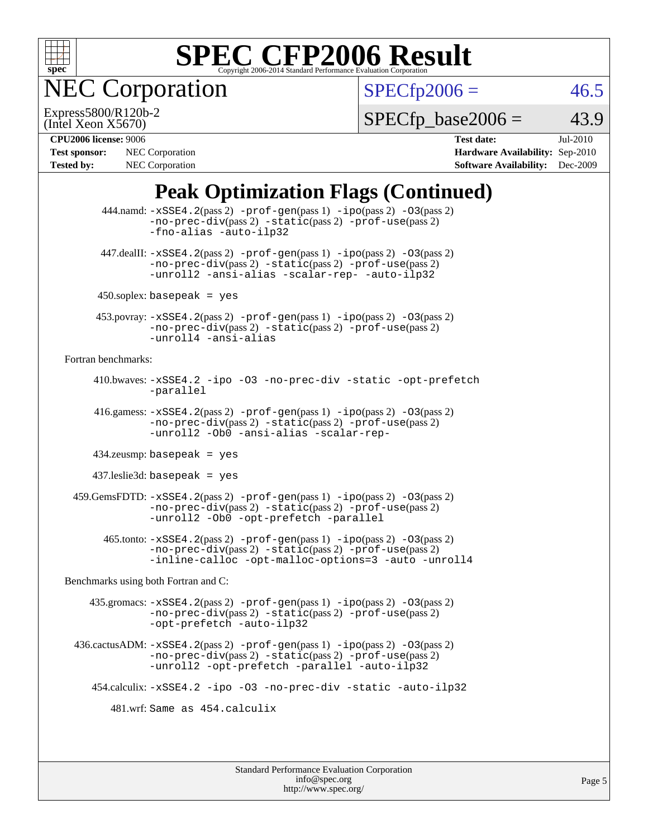

**EC Corporation** 

 $SPECTp2006 = 46.5$ 

(Intel Xeon X5670) Express5800/R120b-2

 $SPECTp\_base2006 = 43.9$ 

**[Test sponsor:](http://www.spec.org/auto/cpu2006/Docs/result-fields.html#Testsponsor)** NEC Corporation **NEC Corporation [Hardware Availability:](http://www.spec.org/auto/cpu2006/Docs/result-fields.html#HardwareAvailability)** Sep-2010 **[Tested by:](http://www.spec.org/auto/cpu2006/Docs/result-fields.html#Testedby)** NEC Corporation **[Software Availability:](http://www.spec.org/auto/cpu2006/Docs/result-fields.html#SoftwareAvailability)** Dec-2009

**[CPU2006 license:](http://www.spec.org/auto/cpu2006/Docs/result-fields.html#CPU2006license)** 9006 **[Test date:](http://www.spec.org/auto/cpu2006/Docs/result-fields.html#Testdate)** Jul-2010

# **[Peak Optimization Flags \(Continued\)](http://www.spec.org/auto/cpu2006/Docs/result-fields.html#PeakOptimizationFlags)**

 $444$ .namd:  $-xSSE4$ .  $2(pass 2)$  [-prof-gen](http://www.spec.org/cpu2006/results/res2010q3/cpu2006-20100813-12901.flags.html#user_peakPASS1_CXXFLAGSPASS1_LDFLAGS444_namd_prof_gen_e43856698f6ca7b7e442dfd80e94a8fc)(pass 1) [-ipo](http://www.spec.org/cpu2006/results/res2010q3/cpu2006-20100813-12901.flags.html#user_peakPASS2_CXXFLAGSPASS2_LDFLAGS444_namd_f-ipo)(pass 2) [-O3](http://www.spec.org/cpu2006/results/res2010q3/cpu2006-20100813-12901.flags.html#user_peakPASS2_CXXFLAGSPASS2_LDFLAGS444_namd_f-O3)(pass 2) [-no-prec-div](http://www.spec.org/cpu2006/results/res2010q3/cpu2006-20100813-12901.flags.html#user_peakPASS2_CXXFLAGSPASS2_LDFLAGS444_namd_f-no-prec-div)(pass 2) [-static](http://www.spec.org/cpu2006/results/res2010q3/cpu2006-20100813-12901.flags.html#user_peakPASS2_CXXFLAGSPASS2_LDFLAGS444_namd_f-static)(pass 2) [-prof-use](http://www.spec.org/cpu2006/results/res2010q3/cpu2006-20100813-12901.flags.html#user_peakPASS2_CXXFLAGSPASS2_LDFLAGS444_namd_prof_use_bccf7792157ff70d64e32fe3e1250b55)(pass 2) [-fno-alias](http://www.spec.org/cpu2006/results/res2010q3/cpu2006-20100813-12901.flags.html#user_peakOPTIMIZE444_namd_f-no-alias_694e77f6c5a51e658e82ccff53a9e63a) [-auto-ilp32](http://www.spec.org/cpu2006/results/res2010q3/cpu2006-20100813-12901.flags.html#user_peakCXXOPTIMIZE444_namd_f-auto-ilp32)  $447$ .dealII:  $-xSSE4$ .  $2(pass 2)$  [-prof-gen](http://www.spec.org/cpu2006/results/res2010q3/cpu2006-20100813-12901.flags.html#user_peakPASS1_CXXFLAGSPASS1_LDFLAGS447_dealII_prof_gen_e43856698f6ca7b7e442dfd80e94a8fc)(pass 1) [-ipo](http://www.spec.org/cpu2006/results/res2010q3/cpu2006-20100813-12901.flags.html#user_peakPASS2_CXXFLAGSPASS2_LDFLAGS447_dealII_f-ipo)(pass 2) [-O3](http://www.spec.org/cpu2006/results/res2010q3/cpu2006-20100813-12901.flags.html#user_peakPASS2_CXXFLAGSPASS2_LDFLAGS447_dealII_f-O3)(pass 2) [-no-prec-div](http://www.spec.org/cpu2006/results/res2010q3/cpu2006-20100813-12901.flags.html#user_peakPASS2_CXXFLAGSPASS2_LDFLAGS447_dealII_f-no-prec-div)(pass 2) [-static](http://www.spec.org/cpu2006/results/res2010q3/cpu2006-20100813-12901.flags.html#user_peakPASS2_CXXFLAGSPASS2_LDFLAGS447_dealII_f-static)(pass 2) [-prof-use](http://www.spec.org/cpu2006/results/res2010q3/cpu2006-20100813-12901.flags.html#user_peakPASS2_CXXFLAGSPASS2_LDFLAGS447_dealII_prof_use_bccf7792157ff70d64e32fe3e1250b55)(pass 2) [-unroll2](http://www.spec.org/cpu2006/results/res2010q3/cpu2006-20100813-12901.flags.html#user_peakOPTIMIZE447_dealII_f-unroll_784dae83bebfb236979b41d2422d7ec2) [-ansi-alias](http://www.spec.org/cpu2006/results/res2010q3/cpu2006-20100813-12901.flags.html#user_peakOPTIMIZE447_dealII_f-ansi-alias) [-scalar-rep-](http://www.spec.org/cpu2006/results/res2010q3/cpu2006-20100813-12901.flags.html#user_peakOPTIMIZE447_dealII_f-disablescalarrep_abbcad04450fb118e4809c81d83c8a1d) [-auto-ilp32](http://www.spec.org/cpu2006/results/res2010q3/cpu2006-20100813-12901.flags.html#user_peakCXXOPTIMIZE447_dealII_f-auto-ilp32)  $450$ .soplex: basepeak = yes 453.povray: [-xSSE4.2](http://www.spec.org/cpu2006/results/res2010q3/cpu2006-20100813-12901.flags.html#user_peakPASS2_CXXFLAGSPASS2_LDFLAGS453_povray_f-xSSE42_f91528193cf0b216347adb8b939d4107)(pass 2) [-prof-gen](http://www.spec.org/cpu2006/results/res2010q3/cpu2006-20100813-12901.flags.html#user_peakPASS1_CXXFLAGSPASS1_LDFLAGS453_povray_prof_gen_e43856698f6ca7b7e442dfd80e94a8fc)(pass 1) [-ipo](http://www.spec.org/cpu2006/results/res2010q3/cpu2006-20100813-12901.flags.html#user_peakPASS2_CXXFLAGSPASS2_LDFLAGS453_povray_f-ipo)(pass 2) [-O3](http://www.spec.org/cpu2006/results/res2010q3/cpu2006-20100813-12901.flags.html#user_peakPASS2_CXXFLAGSPASS2_LDFLAGS453_povray_f-O3)(pass 2) [-no-prec-div](http://www.spec.org/cpu2006/results/res2010q3/cpu2006-20100813-12901.flags.html#user_peakPASS2_CXXFLAGSPASS2_LDFLAGS453_povray_f-no-prec-div)(pass 2) [-static](http://www.spec.org/cpu2006/results/res2010q3/cpu2006-20100813-12901.flags.html#user_peakPASS2_CXXFLAGSPASS2_LDFLAGS453_povray_f-static)(pass 2) [-prof-use](http://www.spec.org/cpu2006/results/res2010q3/cpu2006-20100813-12901.flags.html#user_peakPASS2_CXXFLAGSPASS2_LDFLAGS453_povray_prof_use_bccf7792157ff70d64e32fe3e1250b55)(pass 2) [-unroll4](http://www.spec.org/cpu2006/results/res2010q3/cpu2006-20100813-12901.flags.html#user_peakCXXOPTIMIZE453_povray_f-unroll_4e5e4ed65b7fd20bdcd365bec371b81f) [-ansi-alias](http://www.spec.org/cpu2006/results/res2010q3/cpu2006-20100813-12901.flags.html#user_peakCXXOPTIMIZE453_povray_f-ansi-alias) [Fortran benchmarks](http://www.spec.org/auto/cpu2006/Docs/result-fields.html#Fortranbenchmarks): 410.bwaves: [-xSSE4.2](http://www.spec.org/cpu2006/results/res2010q3/cpu2006-20100813-12901.flags.html#user_peakOPTIMIZE410_bwaves_f-xSSE42_f91528193cf0b216347adb8b939d4107) [-ipo](http://www.spec.org/cpu2006/results/res2010q3/cpu2006-20100813-12901.flags.html#user_peakOPTIMIZE410_bwaves_f-ipo) [-O3](http://www.spec.org/cpu2006/results/res2010q3/cpu2006-20100813-12901.flags.html#user_peakOPTIMIZE410_bwaves_f-O3) [-no-prec-div](http://www.spec.org/cpu2006/results/res2010q3/cpu2006-20100813-12901.flags.html#user_peakOPTIMIZE410_bwaves_f-no-prec-div) [-static](http://www.spec.org/cpu2006/results/res2010q3/cpu2006-20100813-12901.flags.html#user_peakOPTIMIZE410_bwaves_f-static) [-opt-prefetch](http://www.spec.org/cpu2006/results/res2010q3/cpu2006-20100813-12901.flags.html#user_peakOPTIMIZE410_bwaves_f-opt-prefetch) [-parallel](http://www.spec.org/cpu2006/results/res2010q3/cpu2006-20100813-12901.flags.html#user_peakOPTIMIZE410_bwaves_f-parallel) 416.gamess: [-xSSE4.2](http://www.spec.org/cpu2006/results/res2010q3/cpu2006-20100813-12901.flags.html#user_peakPASS2_FFLAGSPASS2_LDFLAGS416_gamess_f-xSSE42_f91528193cf0b216347adb8b939d4107)(pass 2) [-prof-gen](http://www.spec.org/cpu2006/results/res2010q3/cpu2006-20100813-12901.flags.html#user_peakPASS1_FFLAGSPASS1_LDFLAGS416_gamess_prof_gen_e43856698f6ca7b7e442dfd80e94a8fc)(pass 1) [-ipo](http://www.spec.org/cpu2006/results/res2010q3/cpu2006-20100813-12901.flags.html#user_peakPASS2_FFLAGSPASS2_LDFLAGS416_gamess_f-ipo)(pass 2) [-O3](http://www.spec.org/cpu2006/results/res2010q3/cpu2006-20100813-12901.flags.html#user_peakPASS2_FFLAGSPASS2_LDFLAGS416_gamess_f-O3)(pass 2) [-no-prec-div](http://www.spec.org/cpu2006/results/res2010q3/cpu2006-20100813-12901.flags.html#user_peakPASS2_FFLAGSPASS2_LDFLAGS416_gamess_f-no-prec-div)(pass 2) [-static](http://www.spec.org/cpu2006/results/res2010q3/cpu2006-20100813-12901.flags.html#user_peakPASS2_FFLAGSPASS2_LDFLAGS416_gamess_f-static)(pass 2) [-prof-use](http://www.spec.org/cpu2006/results/res2010q3/cpu2006-20100813-12901.flags.html#user_peakPASS2_FFLAGSPASS2_LDFLAGS416_gamess_prof_use_bccf7792157ff70d64e32fe3e1250b55)(pass 2) [-unroll2](http://www.spec.org/cpu2006/results/res2010q3/cpu2006-20100813-12901.flags.html#user_peakOPTIMIZE416_gamess_f-unroll_784dae83bebfb236979b41d2422d7ec2) [-Ob0](http://www.spec.org/cpu2006/results/res2010q3/cpu2006-20100813-12901.flags.html#user_peakOPTIMIZE416_gamess_f-Ob_n_fbe6f6428adb7d4b74b1e99bb2444c2d) [-ansi-alias](http://www.spec.org/cpu2006/results/res2010q3/cpu2006-20100813-12901.flags.html#user_peakOPTIMIZE416_gamess_f-ansi-alias) [-scalar-rep-](http://www.spec.org/cpu2006/results/res2010q3/cpu2006-20100813-12901.flags.html#user_peakOPTIMIZE416_gamess_f-disablescalarrep_abbcad04450fb118e4809c81d83c8a1d) 434.zeusmp: basepeak = yes 437.leslie3d: basepeak = yes  $459$ .GemsFDTD:  $-xSSE4$ .  $2(pass 2)$  -prof-qen(pass 1) [-ipo](http://www.spec.org/cpu2006/results/res2010q3/cpu2006-20100813-12901.flags.html#user_peakPASS2_FFLAGSPASS2_LDFLAGS459_GemsFDTD_f-ipo)(pass 2) -03(pass 2) [-no-prec-div](http://www.spec.org/cpu2006/results/res2010q3/cpu2006-20100813-12901.flags.html#user_peakPASS2_FFLAGSPASS2_LDFLAGS459_GemsFDTD_f-no-prec-div)(pass 2) [-static](http://www.spec.org/cpu2006/results/res2010q3/cpu2006-20100813-12901.flags.html#user_peakPASS2_FFLAGSPASS2_LDFLAGS459_GemsFDTD_f-static)(pass 2) [-prof-use](http://www.spec.org/cpu2006/results/res2010q3/cpu2006-20100813-12901.flags.html#user_peakPASS2_FFLAGSPASS2_LDFLAGS459_GemsFDTD_prof_use_bccf7792157ff70d64e32fe3e1250b55)(pass 2) [-unroll2](http://www.spec.org/cpu2006/results/res2010q3/cpu2006-20100813-12901.flags.html#user_peakOPTIMIZE459_GemsFDTD_f-unroll_784dae83bebfb236979b41d2422d7ec2) [-Ob0](http://www.spec.org/cpu2006/results/res2010q3/cpu2006-20100813-12901.flags.html#user_peakOPTIMIZE459_GemsFDTD_f-Ob_n_fbe6f6428adb7d4b74b1e99bb2444c2d) [-opt-prefetch](http://www.spec.org/cpu2006/results/res2010q3/cpu2006-20100813-12901.flags.html#user_peakOPTIMIZE459_GemsFDTD_f-opt-prefetch) [-parallel](http://www.spec.org/cpu2006/results/res2010q3/cpu2006-20100813-12901.flags.html#user_peakOPTIMIZE459_GemsFDTD_f-parallel) 465.tonto: [-xSSE4.2](http://www.spec.org/cpu2006/results/res2010q3/cpu2006-20100813-12901.flags.html#user_peakPASS2_FFLAGSPASS2_LDFLAGS465_tonto_f-xSSE42_f91528193cf0b216347adb8b939d4107)(pass 2) [-prof-gen](http://www.spec.org/cpu2006/results/res2010q3/cpu2006-20100813-12901.flags.html#user_peakPASS1_FFLAGSPASS1_LDFLAGS465_tonto_prof_gen_e43856698f6ca7b7e442dfd80e94a8fc)(pass 1) [-ipo](http://www.spec.org/cpu2006/results/res2010q3/cpu2006-20100813-12901.flags.html#user_peakPASS2_FFLAGSPASS2_LDFLAGS465_tonto_f-ipo)(pass 2) [-O3](http://www.spec.org/cpu2006/results/res2010q3/cpu2006-20100813-12901.flags.html#user_peakPASS2_FFLAGSPASS2_LDFLAGS465_tonto_f-O3)(pass 2) [-no-prec-div](http://www.spec.org/cpu2006/results/res2010q3/cpu2006-20100813-12901.flags.html#user_peakPASS2_FFLAGSPASS2_LDFLAGS465_tonto_f-no-prec-div)(pass 2) [-static](http://www.spec.org/cpu2006/results/res2010q3/cpu2006-20100813-12901.flags.html#user_peakPASS2_FFLAGSPASS2_LDFLAGS465_tonto_f-static)(pass 2) [-prof-use](http://www.spec.org/cpu2006/results/res2010q3/cpu2006-20100813-12901.flags.html#user_peakPASS2_FFLAGSPASS2_LDFLAGS465_tonto_prof_use_bccf7792157ff70d64e32fe3e1250b55)(pass 2) [-inline-calloc](http://www.spec.org/cpu2006/results/res2010q3/cpu2006-20100813-12901.flags.html#user_peakOPTIMIZE465_tonto_f-inline-calloc) [-opt-malloc-options=3](http://www.spec.org/cpu2006/results/res2010q3/cpu2006-20100813-12901.flags.html#user_peakOPTIMIZE465_tonto_f-opt-malloc-options_13ab9b803cf986b4ee62f0a5998c2238) [-auto](http://www.spec.org/cpu2006/results/res2010q3/cpu2006-20100813-12901.flags.html#user_peakOPTIMIZE465_tonto_f-auto) [-unroll4](http://www.spec.org/cpu2006/results/res2010q3/cpu2006-20100813-12901.flags.html#user_peakOPTIMIZE465_tonto_f-unroll_4e5e4ed65b7fd20bdcd365bec371b81f) [Benchmarks using both Fortran and C](http://www.spec.org/auto/cpu2006/Docs/result-fields.html#BenchmarksusingbothFortranandC): 435.gromacs: [-xSSE4.2](http://www.spec.org/cpu2006/results/res2010q3/cpu2006-20100813-12901.flags.html#user_peakPASS2_CFLAGSPASS2_FFLAGSPASS2_LDFLAGS435_gromacs_f-xSSE42_f91528193cf0b216347adb8b939d4107)(pass 2) [-prof-gen](http://www.spec.org/cpu2006/results/res2010q3/cpu2006-20100813-12901.flags.html#user_peakPASS1_CFLAGSPASS1_FFLAGSPASS1_LDFLAGS435_gromacs_prof_gen_e43856698f6ca7b7e442dfd80e94a8fc)(pass 1) [-ipo](http://www.spec.org/cpu2006/results/res2010q3/cpu2006-20100813-12901.flags.html#user_peakPASS2_CFLAGSPASS2_FFLAGSPASS2_LDFLAGS435_gromacs_f-ipo)(pass 2) [-O3](http://www.spec.org/cpu2006/results/res2010q3/cpu2006-20100813-12901.flags.html#user_peakPASS2_CFLAGSPASS2_FFLAGSPASS2_LDFLAGS435_gromacs_f-O3)(pass 2) [-no-prec-div](http://www.spec.org/cpu2006/results/res2010q3/cpu2006-20100813-12901.flags.html#user_peakPASS2_CFLAGSPASS2_FFLAGSPASS2_LDFLAGS435_gromacs_f-no-prec-div)(pass 2) [-static](http://www.spec.org/cpu2006/results/res2010q3/cpu2006-20100813-12901.flags.html#user_peakPASS2_CFLAGSPASS2_FFLAGSPASS2_LDFLAGS435_gromacs_f-static)(pass 2) [-prof-use](http://www.spec.org/cpu2006/results/res2010q3/cpu2006-20100813-12901.flags.html#user_peakPASS2_CFLAGSPASS2_FFLAGSPASS2_LDFLAGS435_gromacs_prof_use_bccf7792157ff70d64e32fe3e1250b55)(pass 2) [-opt-prefetch](http://www.spec.org/cpu2006/results/res2010q3/cpu2006-20100813-12901.flags.html#user_peakOPTIMIZE435_gromacs_f-opt-prefetch) [-auto-ilp32](http://www.spec.org/cpu2006/results/res2010q3/cpu2006-20100813-12901.flags.html#user_peakCOPTIMIZE435_gromacs_f-auto-ilp32) 436.cactusADM: [-xSSE4.2](http://www.spec.org/cpu2006/results/res2010q3/cpu2006-20100813-12901.flags.html#user_peakPASS2_CFLAGSPASS2_FFLAGSPASS2_LDFLAGS436_cactusADM_f-xSSE42_f91528193cf0b216347adb8b939d4107)(pass 2) [-prof-gen](http://www.spec.org/cpu2006/results/res2010q3/cpu2006-20100813-12901.flags.html#user_peakPASS1_CFLAGSPASS1_FFLAGSPASS1_LDFLAGS436_cactusADM_prof_gen_e43856698f6ca7b7e442dfd80e94a8fc)(pass 1) [-ipo](http://www.spec.org/cpu2006/results/res2010q3/cpu2006-20100813-12901.flags.html#user_peakPASS2_CFLAGSPASS2_FFLAGSPASS2_LDFLAGS436_cactusADM_f-ipo)(pass 2) [-O3](http://www.spec.org/cpu2006/results/res2010q3/cpu2006-20100813-12901.flags.html#user_peakPASS2_CFLAGSPASS2_FFLAGSPASS2_LDFLAGS436_cactusADM_f-O3)(pass 2) [-no-prec-div](http://www.spec.org/cpu2006/results/res2010q3/cpu2006-20100813-12901.flags.html#user_peakPASS2_CFLAGSPASS2_FFLAGSPASS2_LDFLAGS436_cactusADM_f-no-prec-div)(pass 2) [-static](http://www.spec.org/cpu2006/results/res2010q3/cpu2006-20100813-12901.flags.html#user_peakPASS2_CFLAGSPASS2_FFLAGSPASS2_LDFLAGS436_cactusADM_f-static)(pass 2) [-prof-use](http://www.spec.org/cpu2006/results/res2010q3/cpu2006-20100813-12901.flags.html#user_peakPASS2_CFLAGSPASS2_FFLAGSPASS2_LDFLAGS436_cactusADM_prof_use_bccf7792157ff70d64e32fe3e1250b55)(pass 2) [-unroll2](http://www.spec.org/cpu2006/results/res2010q3/cpu2006-20100813-12901.flags.html#user_peakOPTIMIZE436_cactusADM_f-unroll_784dae83bebfb236979b41d2422d7ec2) [-opt-prefetch](http://www.spec.org/cpu2006/results/res2010q3/cpu2006-20100813-12901.flags.html#user_peakOPTIMIZE436_cactusADM_f-opt-prefetch) [-parallel](http://www.spec.org/cpu2006/results/res2010q3/cpu2006-20100813-12901.flags.html#user_peakOPTIMIZE436_cactusADM_f-parallel) [-auto-ilp32](http://www.spec.org/cpu2006/results/res2010q3/cpu2006-20100813-12901.flags.html#user_peakCOPTIMIZE436_cactusADM_f-auto-ilp32) 454.calculix: [-xSSE4.2](http://www.spec.org/cpu2006/results/res2010q3/cpu2006-20100813-12901.flags.html#user_peakOPTIMIZE454_calculix_f-xSSE42_f91528193cf0b216347adb8b939d4107) [-ipo](http://www.spec.org/cpu2006/results/res2010q3/cpu2006-20100813-12901.flags.html#user_peakOPTIMIZE454_calculix_f-ipo) [-O3](http://www.spec.org/cpu2006/results/res2010q3/cpu2006-20100813-12901.flags.html#user_peakOPTIMIZE454_calculix_f-O3) [-no-prec-div](http://www.spec.org/cpu2006/results/res2010q3/cpu2006-20100813-12901.flags.html#user_peakOPTIMIZE454_calculix_f-no-prec-div) [-static](http://www.spec.org/cpu2006/results/res2010q3/cpu2006-20100813-12901.flags.html#user_peakOPTIMIZE454_calculix_f-static) [-auto-ilp32](http://www.spec.org/cpu2006/results/res2010q3/cpu2006-20100813-12901.flags.html#user_peakCOPTIMIZE454_calculix_f-auto-ilp32) 481.wrf: Same as 454.calculix